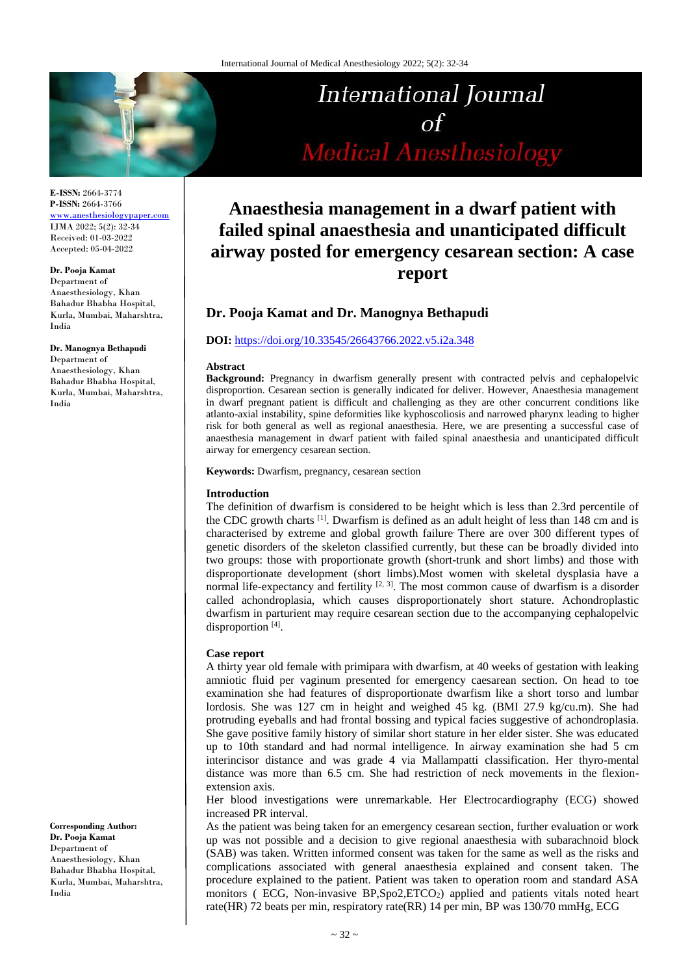

**E-ISSN:** 2664-3774 **P-ISSN:** 2664-3766 [www.anesthesiologypaper.com](http://www.anesthesiologypaper.com/) IJMA 2022; 5(2): 32-34 Received: 01-03-2022 Accepted: 05-04-2022

#### **Dr. Pooja Kamat**

Department of Anaesthesiology, Khan Bahadur Bhabha Hospital, Kurla, Mumbai, Maharshtra, India

#### **Dr. Manognya Bethapudi**

Department of Anaesthesiology, Khan Bahadur Bhabha Hospital, Kurla, Mumbai, Maharshtra, India

**Corresponding Author: Dr. Pooja Kamat** Department of Anaesthesiology, Khan Bahadur Bhabha Hospital, Kurla, Mumbai, Maharshtra, India

# International Journal  $of$ **Medical Anesthesiology**

# **Anaesthesia management in a dwarf patient with failed spinal anaesthesia and unanticipated difficult airway posted for emergency cesarean section: A case report**

# **Dr. Pooja Kamat and Dr. Manognya Bethapudi**

#### **DOI:** <https://doi.org/10.33545/26643766.2022.v5.i2a.348>

#### **Abstract**

**Background:** Pregnancy in dwarfism generally present with contracted pelvis and cephalopelvic disproportion. Cesarean section is generally indicated for deliver. However, Anaesthesia management in dwarf pregnant patient is difficult and challenging as they are other concurrent conditions like atlanto-axial instability, spine deformities like kyphoscoliosis and narrowed pharynx leading to higher risk for both general as well as regional anaesthesia. Here, we are presenting a successful case of anaesthesia management in dwarf patient with failed spinal anaesthesia and unanticipated difficult airway for emergency cesarean section.

#### **Keywords:** Dwarfism, pregnancy, cesarean section

#### **Introduction**

The definition of dwarfism is considered to be height which is less than 2.3rd percentile of the CDC growth charts <sup>[1]</sup>. Dwarfism is defined as an adult height of less than 148 cm and is characterised by extreme and global growth failure. There are over 300 different types of genetic disorders of the skeleton classified currently, but these can be broadly divided into two groups: those with proportionate growth (short-trunk and short limbs) and those with disproportionate development (short limbs).Most women with skeletal dysplasia have a normal life-expectancy and fertility  $[2, 3]$ . The most common cause of dwarfism is a disorder called achondroplasia, which causes disproportionately short stature. Achondroplastic dwarfism in parturient may require cesarean section due to the accompanying cephalopelvic disproportion<sup>[4]</sup>.

#### **Case report**

A thirty year old female with primipara with dwarfism, at 40 weeks of gestation with leaking amniotic fluid per vaginum presented for emergency caesarean section. On head to toe examination she had features of disproportionate dwarfism like a short torso and lumbar lordosis. She was 127 cm in height and weighed 45 kg. (BMI 27.9 kg/cu.m). She had protruding eyeballs and had frontal bossing and typical facies suggestive of achondroplasia. She gave positive family history of similar short stature in her elder sister. She was educated up to 10th standard and had normal intelligence. In airway examination she had 5 cm interincisor distance and was grade 4 via Mallampatti classification. Her thyro-mental distance was more than 6.5 cm. She had restriction of neck movements in the flexionextension axis.

Her blood investigations were unremarkable. Her Electrocardiography (ECG) showed increased PR interval.

As the patient was being taken for an emergency cesarean section, further evaluation or work up was not possible and a decision to give regional anaesthesia with subarachnoid block (SAB) was taken. Written informed consent was taken for the same as well as the risks and complications associated with general anaesthesia explained and consent taken. The procedure explained to the patient. Patient was taken to operation room and standard ASA monitors ( ECG, Non-invasive BP,Spo2,ETCO<sub>2</sub>) applied and patients vitals noted heart rate(HR) 72 beats per min, respiratory rate(RR) 14 per min, BP was 130/70 mmHg, ECG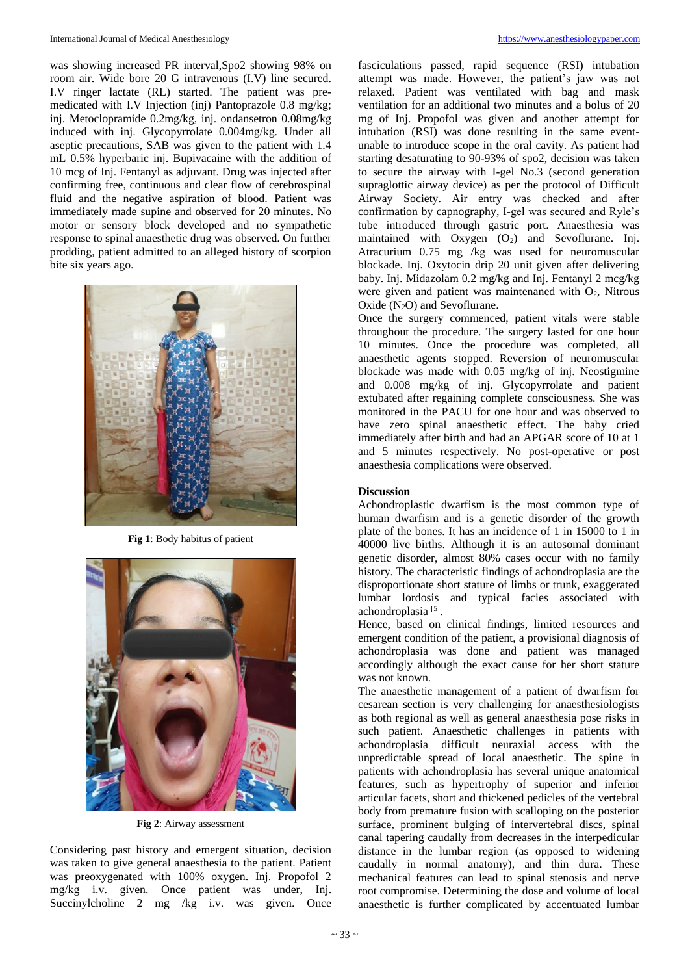was showing increased PR interval,Spo2 showing 98% on room air. Wide bore 20 G intravenous (I.V) line secured. I.V ringer lactate (RL) started. The patient was premedicated with I.V Injection (inj) Pantoprazole 0.8 mg/kg; inj. Metoclopramide 0.2mg/kg, inj. ondansetron 0.08mg/kg induced with inj. Glycopyrrolate 0.004mg/kg. Under all aseptic precautions, SAB was given to the patient with 1.4 mL 0.5% hyperbaric inj. Bupivacaine with the addition of 10 mcg of Inj. Fentanyl as adjuvant. Drug was injected after confirming free, continuous and clear flow of cerebrospinal fluid and the negative aspiration of blood. Patient was immediately made supine and observed for 20 minutes. No motor or sensory block developed and no sympathetic response to spinal anaesthetic drug was observed. On further prodding, patient admitted to an alleged history of scorpion bite six years ago.



**Fig 1**: Body habitus of patient



**Fig 2**: Airway assessment

Considering past history and emergent situation, decision was taken to give general anaesthesia to the patient. Patient was preoxygenated with 100% oxygen. Inj. Propofol 2 mg/kg i.v. given. Once patient was under, Inj. Succinylcholine 2 mg /kg i.v. was given. Once

fasciculations passed, rapid sequence (RSI) intubation attempt was made. However, the patient's jaw was not relaxed. Patient was ventilated with bag and mask ventilation for an additional two minutes and a bolus of 20 mg of Inj. Propofol was given and another attempt for intubation (RSI) was done resulting in the same eventunable to introduce scope in the oral cavity. As patient had starting desaturating to 90-93% of spo2, decision was taken to secure the airway with I-gel No.3 (second generation supraglottic airway device) as per the protocol of Difficult Airway Society. Air entry was checked and after confirmation by capnography, I-gel was secured and Ryle's tube introduced through gastric port. Anaesthesia was maintained with  $Oxygen$   $(O<sub>2</sub>)$  and Sevoflurane. Inj. Atracurium 0.75 mg /kg was used for neuromuscular blockade. Inj. Oxytocin drip 20 unit given after delivering baby. Inj. Midazolam 0.2 mg/kg and Inj. Fentanyl 2 mcg/kg were given and patient was maintenaned with  $O_2$ , Nitrous Oxide  $(N_2O)$  and Sevoflurane.

Once the surgery commenced, patient vitals were stable throughout the procedure. The surgery lasted for one hour 10 minutes. Once the procedure was completed, all anaesthetic agents stopped. Reversion of neuromuscular blockade was made with 0.05 mg/kg of inj. Neostigmine and 0.008 mg/kg of inj. Glycopyrrolate and patient extubated after regaining complete consciousness. She was monitored in the PACU for one hour and was observed to have zero spinal anaesthetic effect. The baby cried immediately after birth and had an APGAR score of 10 at 1 and 5 minutes respectively. No post-operative or post anaesthesia complications were observed.

# **Discussion**

Achondroplastic dwarfism is the most common type of human dwarfism and is a genetic disorder of the growth plate of the bones. It has an incidence of 1 in 15000 to 1 in 40000 live births. Although it is an autosomal dominant genetic disorder, almost 80% cases occur with no family history. The characteristic findings of achondroplasia are the disproportionate short stature of limbs or trunk, exaggerated lumbar lordosis and typical facies associated with achondroplasia<sup>[5]</sup>.

Hence, based on clinical findings, limited resources and emergent condition of the patient, a provisional diagnosis of achondroplasia was done and patient was managed accordingly although the exact cause for her short stature was not known.

The anaesthetic management of a patient of dwarfism for cesarean section is very challenging for anaesthesiologists as both regional as well as general anaesthesia pose risks in such patient. Anaesthetic challenges in patients with achondroplasia difficult neuraxial access with the unpredictable spread of local anaesthetic. The spine in patients with achondroplasia has several unique anatomical features, such as hypertrophy of superior and inferior articular facets, short and thickened pedicles of the vertebral body from premature fusion with scalloping on the posterior surface, prominent bulging of intervertebral discs, spinal canal tapering caudally from decreases in the interpedicular distance in the lumbar region (as opposed to widening caudally in normal anatomy), and thin dura. These mechanical features can lead to spinal stenosis and nerve root compromise. Determining the dose and volume of local anaesthetic is further complicated by accentuated lumbar